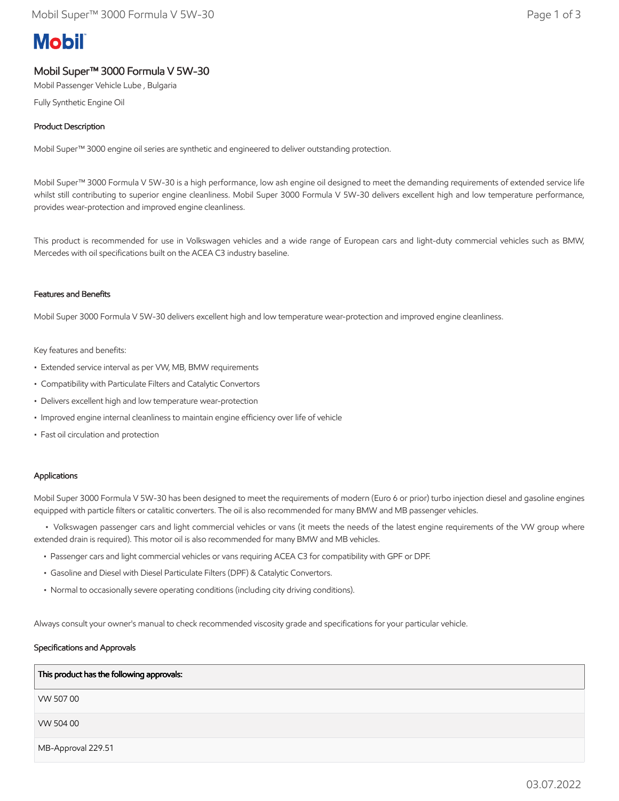# **Mobil**

## Mobil Super™ 3000 Formula V 5W-30

Mobil Passenger Vehicle Lube , Bulgaria

Fully Synthetic Engine Oil

### Product Description

Mobil Super™ 3000 engine oil series are synthetic and engineered to deliver outstanding protection.

Mobil Super™ 3000 Formula V 5W-30 is a high performance, low ash engine oil designed to meet the demanding requirements of extended service life whilst still contributing to superior engine cleanliness. Mobil Super 3000 Formula V 5W-30 delivers excellent high and low temperature performance, provides wear-protection and improved engine cleanliness.

This product is recommended for use in Volkswagen vehicles and a wide range of European cars and light-duty commercial vehicles such as BMW, Mercedes with oil specifications built on the ACEA C3 industry baseline.

#### Features and Benefits

Mobil Super 3000 Formula V 5W-30 delivers excellent high and low temperature wear-protection and improved engine cleanliness.

#### Key features and benefits:

- Extended service interval as per VW, MB, BMW requirements
- Compatibility with Particulate Filters and Catalytic Convertors
- Delivers excellent high and low temperature wear-protection
- Improved engine internal cleanliness to maintain engine efficiency over life of vehicle
- Fast oil circulation and protection

#### Applications

Mobil Super 3000 Formula V 5W-30 has been designed to meet the requirements of modern (Euro 6 or prior) turbo injection diesel and gasoline engines equipped with particle filters or catalitic converters. The oil is also recommended for many BMW and MB passenger vehicles.

 • Volkswagen passenger cars and light commercial vehicles or vans (it meets the needs of the latest engine requirements of the VW group where extended drain is required). This motor oil is also recommended for many BMW and MB vehicles.

- Passenger cars and light commercial vehicles or vans requiring ACEA C3 for compatibility with GPF or DPF.
- Gasoline and Diesel with Diesel Particulate Filters (DPF) & Catalytic Convertors.
- Normal to occasionally severe operating conditions (including city driving conditions).

Always consult your owner's manual to check recommended viscosity grade and specifications for your particular vehicle.

#### Specifications and Approvals

| This product has the following approvals: |
|-------------------------------------------|
| VW 50700                                  |
| VW 504 00                                 |
| MB-Approval 229.51                        |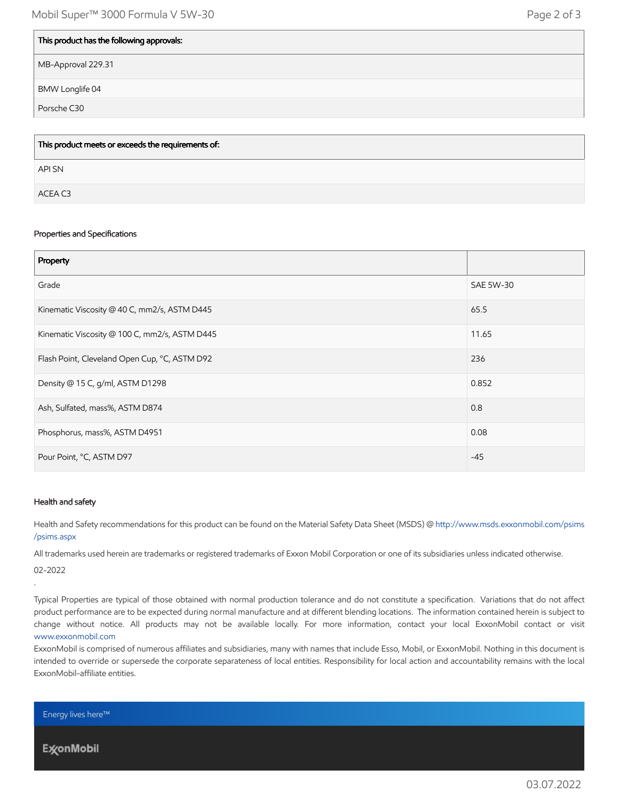| This product has the following approvals: |
|-------------------------------------------|
| MB-Approval 229.31                        |
| <b>BMW Longlife 04</b>                    |
| Porsche C30                               |

| This product meets or exceeds the requirements of: |
|----------------------------------------------------|
| API SN                                             |
| ACEA C3                                            |

#### Properties and Specifications

| Property                                      |           |
|-----------------------------------------------|-----------|
| Grade                                         | SAE 5W-30 |
| Kinematic Viscosity @ 40 C, mm2/s, ASTM D445  | 65.5      |
| Kinematic Viscosity @ 100 C, mm2/s, ASTM D445 | 11.65     |
| Flash Point, Cleveland Open Cup, °C, ASTM D92 | 236       |
| Density @ 15 C, g/ml, ASTM D1298              | 0.852     |
| Ash, Sulfated, mass%, ASTM D874               | 0.8       |
| Phosphorus, mass%, ASTM D4951                 | 0.08      |
| Pour Point, °C, ASTM D97                      | $-45$     |

#### Health and safety

Health and Safety recommendations for this product can be found on the Material Safety Data Sheet (MSDS) @ [http://www.msds.exxonmobil.com/psims](http://www.msds.exxonmobil.com/psims/psims.aspx) /psims.aspx

All trademarks used herein are trademarks or registered trademarks of Exxon Mobil Corporation or one of its subsidiaries unless indicated otherwise.

02-2022

.

Typical Properties are typical of those obtained with normal production tolerance and do not constitute a specification. Variations that do not affect product performance are to be expected during normal manufacture and at different blending locations. The information contained herein is subject to change without notice. All products may not be available locally. For more information, contact your local ExxonMobil contact or visit [www.exxonmobil.com](http://www.exxonmobil.com/)

ExxonMobil is comprised of numerous affiliates and subsidiaries, many with names that include Esso, Mobil, or ExxonMobil. Nothing in this document is intended to override or supersede the corporate separateness of local entities. Responsibility for local action and accountability remains with the local ExxonMobil-affiliate entities.

Energy lives here™

**ExconMobil**